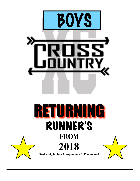

### RETURNING RUNNER'S **FROM 2018**



**Seniors 4, Juniors 2, Sophomore 0, Freshman 0**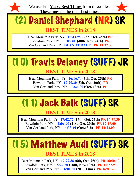

We use last **Years Best Times** from three sites. These may not be their best times.

# (2) Daniel Shephard (NR) SR

**BEST TIMES in 2018** 

Bear Mountain Park, NY **15:43.95 (2nd, Oct. 25th) PR** Bowdoin Park, NY **17:05.40 (48th, Nov. 24th) PR** Van Cortland Park, NY **DID NOT RACE PR 13:37.30** 

#### (10) Travis Delaney (SUFF) JR

#### **BEST TIMES in 2018**

Bear Mountain Park, NY **16:16.70 (5th, Oct. 25th) PR** Bowdoin Park, NY **17:20.30 (5th, Oct. 20th) PR**  Van Cortland Park, NY **13:24.00 (Oct. 13th) PR**

#### (11) Jack Balk (SUFF) SR

**BEST TIMES in 2018** 

Bear Mountain Park, NY **17:02.77 (17th, Oct. 25th) PR 16:56.30**  Bowdoin Park, NY **18:06.90 (21st, Oct. 20th) PR 17:16.00** Van Cortland Park, NY **14:33.40 (Oct.13th) PR 14:12.00** 

# (15) Matthew Audi (SUFF) SR

#### **BEST TIMES in 2018**

Bear Mountain Park, NY **17:22.88 (6th, Oct. 25th) PR 16:50.40**  Bowdoin Park, NY **18:27.60 (18th, Nov. 13th) PR 17:22.93** Van Cortland Park, NY **16:01.20 (2017 Time) PR 16:01.20**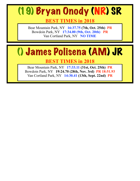## (19) Bryan Onody (NR) SR

**BEST TIMES in 2018** 

Bear Mountain Park, NY **16:37.75 (7th, Oct. 25th) PR** Bowdoin Park, NY **17:34.00 (9th, Oct. 20th) PR**  Van Cortland Park, NY **NO TIME**

## () James Polisena (AM) JR

**BEST TIMES in 2018** 

Bear Mountain Park, NY **17:33.11 (31st, Oct. 25th) PR** Bowdoin Park, NY **19:24.70 (28th, Nov. 3rd) PR 18:51.93** Van Cortland Park, NY **14:30.41 (13th, Sept. 22nd) PR**